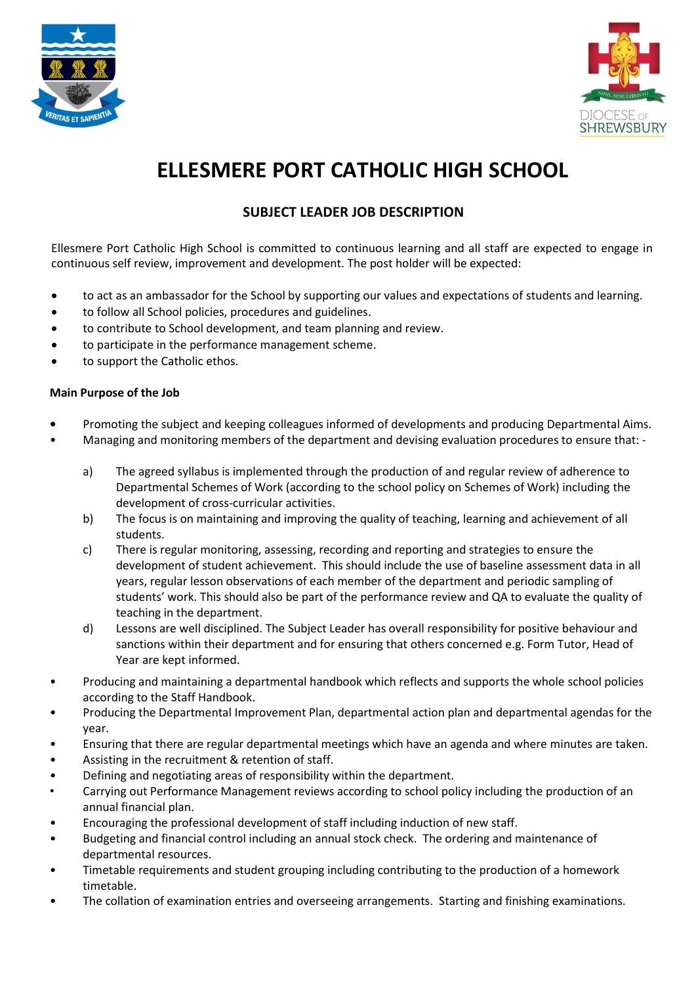



## **ELLESMERE PORT CATHOLIC HIGH SCHOOL**

## **SUBJECT LEADER JOB DESCRIPTION**

Ellesmere Port Catholic High School is committed to continuous learning and all staff are expected to engage in continuous self review, improvement and development. The post holder will be expected:

- to act as an ambassador for the School by supporting our values and expectations of students and learning.
- to follow all School policies, procedures and guidelines.
- to contribute to School development, and team planning and review.
- to participate in the performance management scheme.
- to support the Catholic ethos.

## **Main Purpose of the Job**

- **•** Promoting the subject and keeping colleagues informed of developments and producing Departmental Aims.
- Managing and monitoring members of the department and devising evaluation procedures to ensure that:
	- a) The agreed syllabus is implemented through the production of and regular review of adherence to Departmental Schemes of Work (according to the school policy on Schemes of Work) including the development of cross-curricular activities.
	- b) The focus is on maintaining and improving the quality of teaching, learning and achievement of all students.
	- c) There is regular monitoring, assessing, recording and reporting and strategies to ensure the development of student achievement. This should include the use of baseline assessment data in all years, regular lesson observations of each member of the department and periodic sampling of students' work. This should also be part of the performance review and QA to evaluate the quality of teaching in the department.
	- d) Lessons are well disciplined. The Subject Leader has overall responsibility for positive behaviour and sanctions within their department and for ensuring that others concerned e.g. Form Tutor, Head of Year are kept informed.
- Producing and maintaining a departmental handbook which reflects and supports the whole school policies according to the Staff Handbook.
- Producing the Departmental Improvement Plan, departmental action plan and departmental agendas for the year.
- Ensuring that there are regular departmental meetings which have an agenda and where minutes are taken.
- Assisting in the recruitment & retention of staff.
- Defining and negotiating areas of responsibility within the department.
- Carrying out Performance Management reviews according to school policy including the production of an annual financial plan.
- Encouraging the professional development of staff including induction of new staff.
- Budgeting and financial control including an annual stock check. The ordering and maintenance of departmental resources.
- Timetable requirements and student grouping including contributing to the production of a homework timetable.
- The collation of examination entries and overseeing arrangements. Starting and finishing examinations.